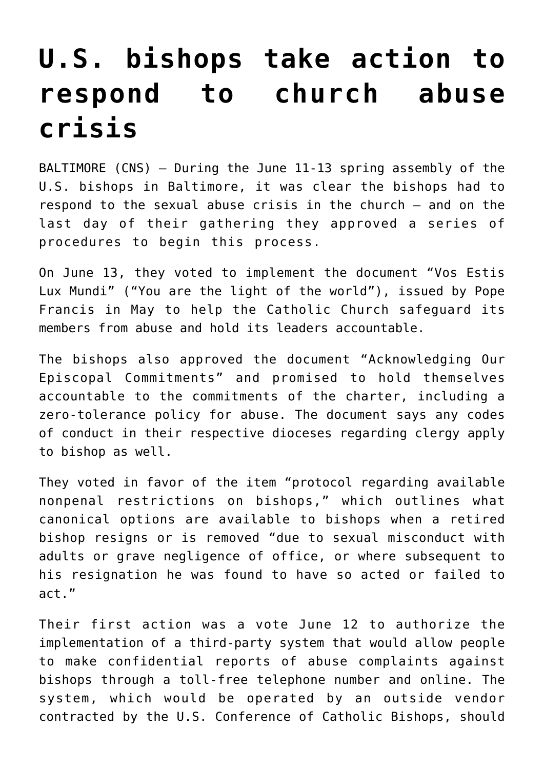## **[U.S. bishops take action to](https://www.osvnews.com/amp/2019/06/13/u-s-bishops-take-action-to-respond-to-church-abuse-crisis/) [respond to church abuse](https://www.osvnews.com/amp/2019/06/13/u-s-bishops-take-action-to-respond-to-church-abuse-crisis/) [crisis](https://www.osvnews.com/amp/2019/06/13/u-s-bishops-take-action-to-respond-to-church-abuse-crisis/)**

BALTIMORE (CNS) — During the June 11-13 spring assembly of the U.S. bishops in Baltimore, it was clear the bishops had to respond to the sexual abuse crisis in the church — and on the last day of their gathering they approved a series of procedures to begin this process.

On June 13, they voted to implement the document "Vos Estis Lux Mundi" ("You are the light of the world"), issued by Pope Francis in May to help the Catholic Church safeguard its members from abuse and hold its leaders accountable.

The bishops also approved the document "Acknowledging Our Episcopal Commitments" and promised to hold themselves accountable to the commitments of the charter, including a zero-tolerance policy for abuse. The document says any codes of conduct in their respective dioceses regarding clergy apply to bishop as well.

They voted in favor of the item "protocol regarding available nonpenal restrictions on bishops," which outlines what canonical options are available to bishops when a retired bishop resigns or is removed "due to sexual misconduct with adults or grave negligence of office, or where subsequent to his resignation he was found to have so acted or failed to act."

Their first action was a vote June 12 to authorize the implementation of a third-party system that would allow people to make confidential reports of abuse complaints against bishops through a toll-free telephone number and online. The system, which would be operated by an outside vendor contracted by the U.S. Conference of Catholic Bishops, should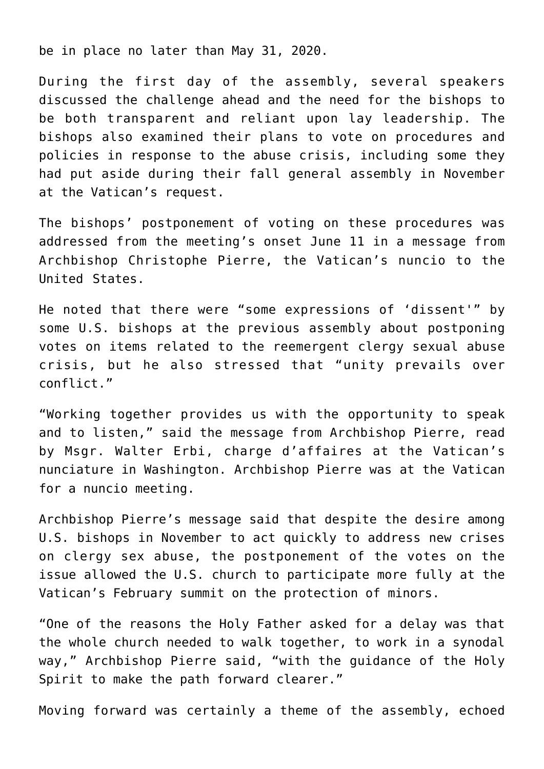be in place no later than May 31, 2020.

During the first day of the assembly, several speakers discussed the challenge ahead and the need for the bishops to be both transparent and reliant upon lay leadership. The bishops also examined their plans to vote on procedures and policies in response to the abuse crisis, including some they had put aside during their fall general assembly in November at the Vatican's request.

The bishops' postponement of voting on these procedures was addressed from the meeting's onset June 11 in a message from Archbishop Christophe Pierre, the Vatican's nuncio to the United States.

He noted that there were "some expressions of 'dissent'" by some U.S. bishops at the previous assembly about postponing votes on items related to the reemergent clergy sexual abuse crisis, but he also stressed that "unity prevails over conflict."

"Working together provides us with the opportunity to speak and to listen," said the message from Archbishop Pierre, read by Msgr. Walter Erbi, charge d'affaires at the Vatican's nunciature in Washington. Archbishop Pierre was at the Vatican for a nuncio meeting.

Archbishop Pierre's message said that despite the desire among U.S. bishops in November to act quickly to address new crises on clergy sex abuse, the postponement of the votes on the issue allowed the U.S. church to participate more fully at the Vatican's February summit on the protection of minors.

"One of the reasons the Holy Father asked for a delay was that the whole church needed to walk together, to work in a synodal way," Archbishop Pierre said, "with the guidance of the Holy Spirit to make the path forward clearer."

Moving forward was certainly a theme of the assembly, echoed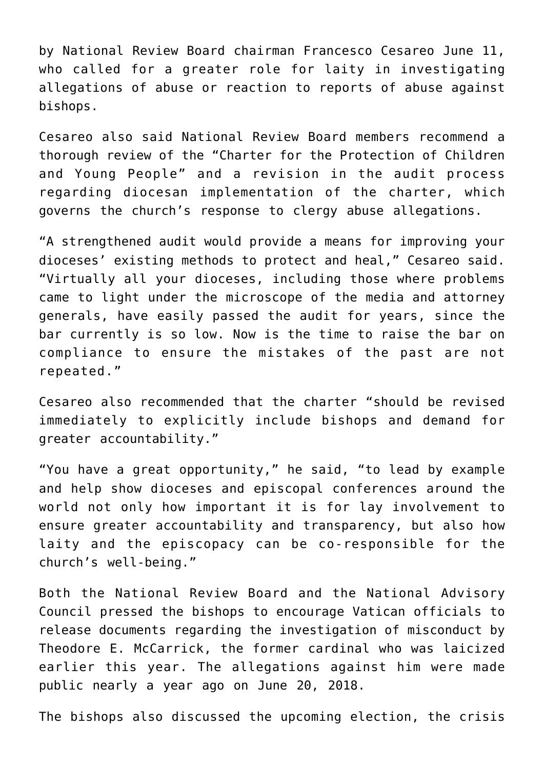by National Review Board chairman Francesco Cesareo June 11, who called for a greater role for laity in investigating allegations of abuse or reaction to reports of abuse against bishops.

Cesareo also said National Review Board members recommend a thorough review of the "Charter for the Protection of Children and Young People" and a revision in the audit process regarding diocesan implementation of the charter, which governs the church's response to clergy abuse allegations.

"A strengthened audit would provide a means for improving your dioceses' existing methods to protect and heal," Cesareo said. "Virtually all your dioceses, including those where problems came to light under the microscope of the media and attorney generals, have easily passed the audit for years, since the bar currently is so low. Now is the time to raise the bar on compliance to ensure the mistakes of the past are not repeated."

Cesareo also recommended that the charter "should be revised immediately to explicitly include bishops and demand for greater accountability."

"You have a great opportunity," he said, "to lead by example and help show dioceses and episcopal conferences around the world not only how important it is for lay involvement to ensure greater accountability and transparency, but also how laity and the episcopacy can be co-responsible for the church's well-being."

Both the National Review Board and the National Advisory Council pressed the bishops to encourage Vatican officials to release documents regarding the investigation of misconduct by Theodore E. McCarrick, the former cardinal who was laicized earlier this year. The allegations against him were made public nearly a year ago on June 20, 2018.

The bishops also discussed the upcoming election, the crisis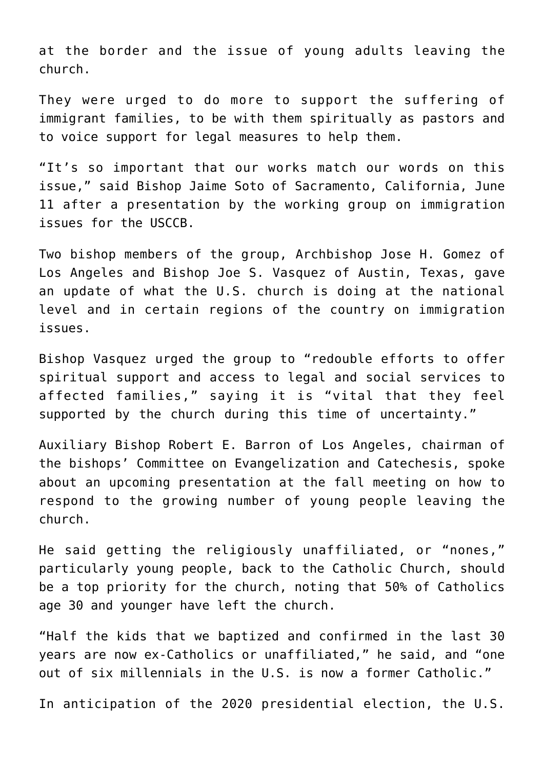at the border and the issue of young adults leaving the church.

They were urged to do more to support the suffering of immigrant families, to be with them spiritually as pastors and to voice support for legal measures to help them.

"It's so important that our works match our words on this issue," said Bishop Jaime Soto of Sacramento, California, June 11 after a presentation by the working group on immigration issues for the USCCB.

Two bishop members of the group, Archbishop Jose H. Gomez of Los Angeles and Bishop Joe S. Vasquez of Austin, Texas, gave an update of what the U.S. church is doing at the national level and in certain regions of the country on immigration issues.

Bishop Vasquez urged the group to "redouble efforts to offer spiritual support and access to legal and social services to affected families," saying it is "vital that they feel supported by the church during this time of uncertainty."

Auxiliary Bishop Robert E. Barron of Los Angeles, chairman of the bishops' Committee on Evangelization and Catechesis, spoke about an upcoming presentation at the fall meeting on how to respond to the growing number of young people leaving the church.

He said getting the religiously unaffiliated, or "nones," particularly young people, back to the Catholic Church, should be a top priority for the church, noting that 50% of Catholics age 30 and younger have left the church.

"Half the kids that we baptized and confirmed in the last 30 years are now ex-Catholics or unaffiliated," he said, and "one out of six millennials in the U.S. is now a former Catholic."

In anticipation of the 2020 presidential election, the U.S.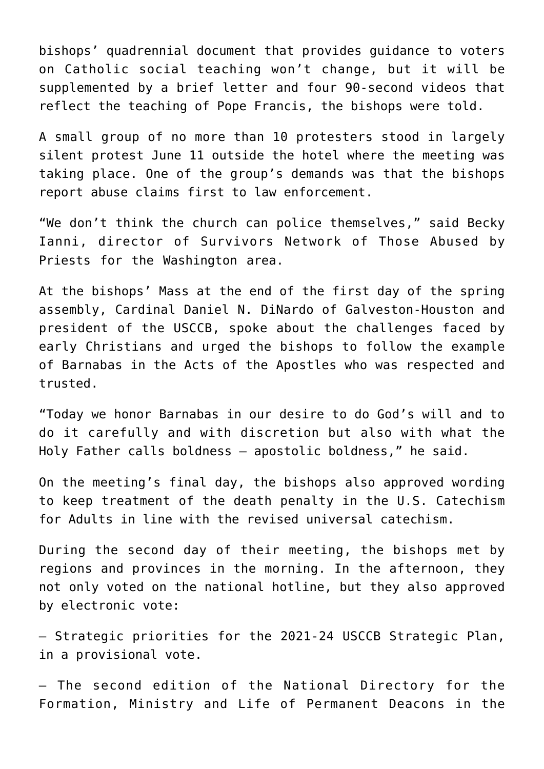bishops' quadrennial document that provides guidance to voters on Catholic social teaching won't change, but it will be supplemented by a brief letter and four 90-second videos that reflect the teaching of Pope Francis, the bishops were told.

A small group of no more than 10 protesters stood in largely silent protest June 11 outside the hotel where the meeting was taking place. One of the group's demands was that the bishops report abuse claims first to law enforcement.

"We don't think the church can police themselves," said Becky Ianni, director of Survivors Network of Those Abused by Priests for the Washington area.

At the bishops' Mass at the end of the first day of the spring assembly, Cardinal Daniel N. DiNardo of Galveston-Houston and president of the USCCB, spoke about the challenges faced by early Christians and urged the bishops to follow the example of Barnabas in the Acts of the Apostles who was respected and trusted.

"Today we honor Barnabas in our desire to do God's will and to do it carefully and with discretion but also with what the Holy Father calls boldness — apostolic boldness," he said.

On the meeting's final day, the bishops also approved wording to keep treatment of the death penalty in the U.S. Catechism for Adults in line with the revised universal catechism.

During the second day of their meeting, the bishops met by regions and provinces in the morning. In the afternoon, they not only voted on the national hotline, but they also approved by electronic vote:

— Strategic priorities for the 2021-24 USCCB Strategic Plan, in a provisional vote.

— The second edition of the National Directory for the Formation, Ministry and Life of Permanent Deacons in the